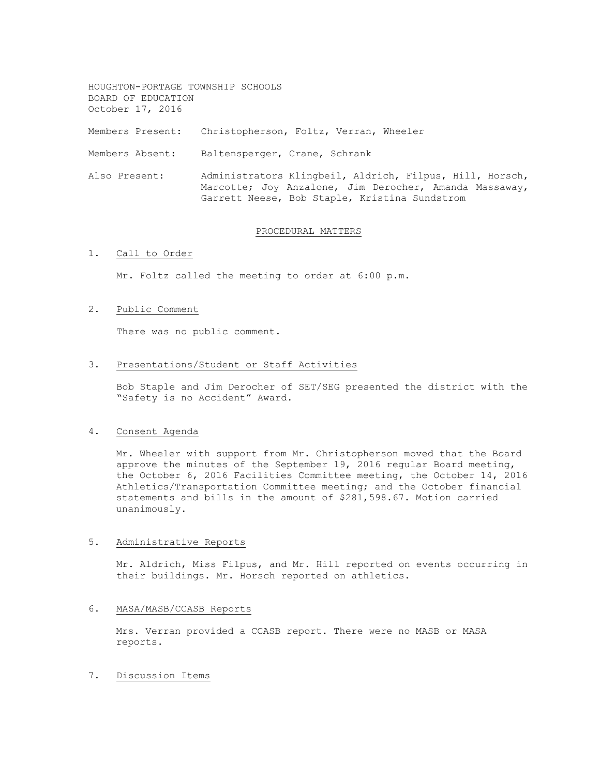HOUGHTON-PORTAGE TOWNSHIP SCHOOLS BOARD OF EDUCATION October 17, 2016 Members Present: Christopherson, Foltz, Verran, Wheeler Members Absent: Baltensperger, Crane, Schrank Also Present: Administrators Klingbeil, Aldrich, Filpus, Hill, Horsch,

### PROCEDURAL MATTERS

Garrett Neese, Bob Staple, Kristina Sundstrom

Marcotte; Joy Anzalone, Jim Derocher, Amanda Massaway,

### 1. Call to Order

Mr. Foltz called the meeting to order at 6:00 p.m.

### 2. Public Comment

There was no public comment.

#### 3. Presentations/Student or Staff Activities

Bob Staple and Jim Derocher of SET/SEG presented the district with the "Safety is no Accident" Award.

#### 4. Consent Agenda

Mr. Wheeler with support from Mr. Christopherson moved that the Board approve the minutes of the September 19, 2016 regular Board meeting, the October 6, 2016 Facilities Committee meeting, the October 14, 2016 Athletics/Transportation Committee meeting; and the October financial statements and bills in the amount of \$281,598.67. Motion carried unanimously.

#### 5. Administrative Reports

Mr. Aldrich, Miss Filpus, and Mr. Hill reported on events occurring in their buildings. Mr. Horsch reported on athletics.

## 6. MASA/MASB/CCASB Reports

Mrs. Verran provided a CCASB report. There were no MASB or MASA reports.

7. Discussion Items